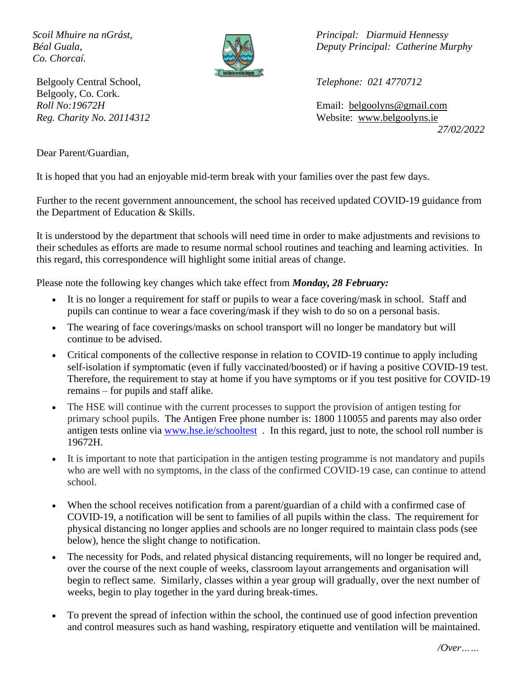*Co. Chorcaí.*



Belgooly Central School, *Telephone: 021 4770712* Belgooly, Co. Cork.

*Scoil Mhuire na nGrást, Principal: Diarmuid Hennessy Béal Guala, Deputy Principal: Catherine Murphy*

*Roll No:19672H* Email: [belgoolyns@gmail.com](mailto:belgoolyns@gmail.com) *Reg. Charity No. 20114312* Website: [www.belgoolyns.ie](http://www.belgoolyns.scoilnet.ie/) *27/02/2022*

Dear Parent/Guardian,

It is hoped that you had an enjoyable mid-term break with your families over the past few days.

Further to the recent government announcement, the school has received updated COVID-19 guidance from the Department of Education & Skills.

It is understood by the department that schools will need time in order to make adjustments and revisions to their schedules as efforts are made to resume normal school routines and teaching and learning activities. In this regard, this correspondence will highlight some initial areas of change.

Please note the following key changes which take effect from *Monday, 28 February:*

- It is no longer a requirement for staff or pupils to wear a face covering/mask in school. Staff and pupils can continue to wear a face covering/mask if they wish to do so on a personal basis.
- The wearing of face coverings/masks on school transport will no longer be mandatory but will continue to be advised.
- Critical components of the collective response in relation to COVID-19 continue to apply including self-isolation if symptomatic (even if fully vaccinated/boosted) or if having a positive COVID-19 test. Therefore, the requirement to stay at home if you have symptoms or if you test positive for COVID-19 remains – for pupils and staff alike.
- The HSE will continue with the current processes to support the provision of antigen testing for primary school pupils. The Antigen Free phone number is: 1800 110055 and parents may also order antigen tests online via [www.hse.ie/schooltest](http://www.hse.ie/schooltest) . In this regard, just to note, the school roll number is 19672H.
- It is important to note that participation in the antigen testing programme is not mandatory and pupils who are well with no symptoms, in the class of the confirmed COVID-19 case, can continue to attend school.
- When the school receives notification from a parent/guardian of a child with a confirmed case of COVID-19, a notification will be sent to families of all pupils within the class. The requirement for physical distancing no longer applies and schools are no longer required to maintain class pods (see below), hence the slight change to notification.
- The necessity for Pods, and related physical distancing requirements, will no longer be required and, over the course of the next couple of weeks, classroom layout arrangements and organisation will begin to reflect same. Similarly, classes within a year group will gradually, over the next number of weeks, begin to play together in the yard during break-times.
- To prevent the spread of infection within the school, the continued use of good infection prevention and control measures such as hand washing, respiratory etiquette and ventilation will be maintained.